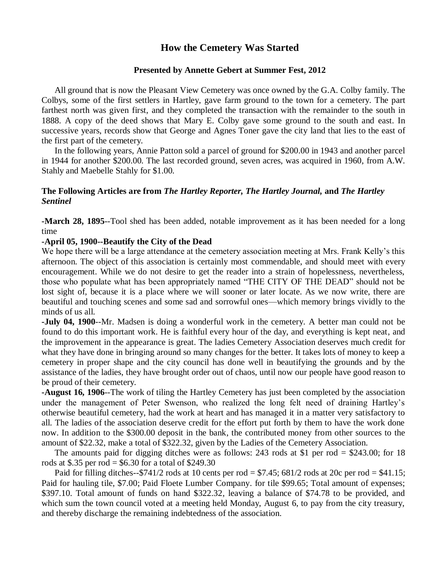# **How the Cemetery Was Started**

# **Presented by Annette Gebert at Summer Fest, 2012**

All ground that is now the Pleasant View Cemetery was once owned by the G.A. Colby family. The Colbys, some of the first settlers in Hartley, gave farm ground to the town for a cemetery. The part farthest north was given first, and they completed the transaction with the remainder to the south in 1888. A copy of the deed shows that Mary E. Colby gave some ground to the south and east. In successive years, records show that George and Agnes Toner gave the city land that lies to the east of the first part of the cemetery.

In the following years, Annie Patton sold a parcel of ground for \$200.00 in 1943 and another parcel in 1944 for another \$200.00. The last recorded ground, seven acres, was acquired in 1960, from A.W. Stahly and Maebelle Stahly for \$1.00.

# **The Following Articles are from** *The Hartley Reporter, The Hartley Journal,* **and** *The Hartley Sentinel*

**-March 28, 1895**--Tool shed has been added, notable improvement as it has been needed for a long time

## **-April 05, 1900--Beautify the City of the Dead**

We hope there will be a large attendance at the cemetery association meeting at Mrs. Frank Kelly's this afternoon. The object of this association is certainly most commendable, and should meet with every encouragement. While we do not desire to get the reader into a strain of hopelessness, nevertheless, those who populate what has been appropriately named "THE CITY OF THE DEAD" should not be lost sight of, because it is a place where we will sooner or later locate. As we now write, there are beautiful and touching scenes and some sad and sorrowful ones—which memory brings vividly to the minds of us all.

**-July 04, 1900**--Mr. Madsen is doing a wonderful work in the cemetery. A better man could not be found to do this important work. He is faithful every hour of the day, and everything is kept neat, and the improvement in the appearance is great. The ladies Cemetery Association deserves much credit for what they have done in bringing around so many changes for the better. It takes lots of money to keep a cemetery in proper shape and the city council has done well in beautifying the grounds and by the assistance of the ladies, they have brought order out of chaos, until now our people have good reason to be proud of their cemetery.

**-August 16, 1906**--The work of tiling the Hartley Cemetery has just been completed by the association under the management of Peter Swenson, who realized the long felt need of draining Hartley's otherwise beautiful cemetery, had the work at heart and has managed it in a matter very satisfactory to all. The ladies of the association deserve credit for the effort put forth by them to have the work done now. In addition to the \$300.00 deposit in the bank, the contributed money from other sources to the amount of \$22.32, make a total of \$322.32, given by the Ladies of the Cemetery Association.

The amounts paid for digging ditches were as follows: 243 rods at \$1 per rod  $=$  \$243.00; for 18 rods at \$.35 per rod =  $$6.30$  for a total of \$249.30

Paid for filling ditches--\$741/2 rods at 10 cents per rod = \$7.45; 681/2 rods at 20c per rod = \$41.15; Paid for hauling tile, \$7.00; Paid Floete Lumber Company. for tile \$99.65; Total amount of expenses; \$397.10. Total amount of funds on hand \$322.32, leaving a balance of \$74.78 to be provided, and which sum the town council voted at a meeting held Monday, August 6, to pay from the city treasury, and thereby discharge the remaining indebtedness of the association.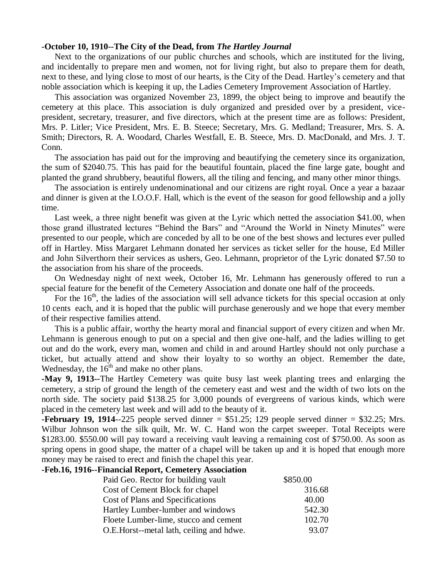#### **-October 10, 1910--The City of the Dead, from** *The Hartley Journal*

Next to the organizations of our public churches and schools, which are instituted for the living, and incidentally to prepare men and women, not for living right, but also to prepare them for death, next to these, and lying close to most of our hearts, is the City of the Dead. Hartley's cemetery and that noble association which is keeping it up, the Ladies Cemetery Improvement Association of Hartley.

This association was organized November 23, 1899, the object being to improve and beautify the cemetery at this place. This association is duly organized and presided over by a president, vicepresident, secretary, treasurer, and five directors, which at the present time are as follows: President, Mrs. P. Litler; Vice President, Mrs. E. B. Steece; Secretary, Mrs. G. Medland; Treasurer, Mrs. S. A. Smith; Directors, R. A. Woodard, Charles Westfall, E. B. Steece, Mrs. D. MacDonald, and Mrs. J. T. Conn.

The association has paid out for the improving and beautifying the cemetery since its organization, the sum of \$2040.75. This has paid for the beautiful fountain, placed the fine large gate, bought and planted the grand shrubbery, beautiful flowers, all the tiling and fencing, and many other minor things.

The association is entirely undenominational and our citizens are right royal. Once a year a bazaar and dinner is given at the I.O.O.F. Hall, which is the event of the season for good fellowship and a jolly time.

Last week, a three night benefit was given at the Lyric which netted the association \$41.00, when those grand illustrated lectures "Behind the Bars" and "Around the World in Ninety Minutes" were presented to our people, which are conceded by all to be one of the best shows and lectures ever pulled off in Hartley. Miss Margaret Lehmann donated her services as ticket seller for the house, Ed Miller and John Silverthorn their services as ushers, Geo. Lehmann, proprietor of the Lyric donated \$7.50 to the association from his share of the proceeds.

On Wednesday night of next week, October 16, Mr. Lehmann has generously offered to run a special feature for the benefit of the Cemetery Association and donate one half of the proceeds.

For the  $16<sup>th</sup>$ , the ladies of the association will sell advance tickets for this special occasion at only 10 cents each, and it is hoped that the public will purchase generously and we hope that every member of their respective families attend.

This is a public affair, worthy the hearty moral and financial support of every citizen and when Mr. Lehmann is generous enough to put on a special and then give one-half, and the ladies willing to get out and do the work, every man, women and child in and around Hartley should not only purchase a ticket, but actually attend and show their loyalty to so worthy an object. Remember the date, Wednesday, the  $16<sup>th</sup>$  and make no other plans.

**-May 9, 1913--**The Hartley Cemetery was quite busy last week planting trees and enlarging the cemetery, a strip of ground the length of the cemetery east and west and the width of two lots on the north side. The society paid \$138.25 for 3,000 pounds of evergreens of various kinds, which were placed in the cemetery last week and will add to the beauty of it.

**-February 19, 1914--225** people served dinner  $= $51.25$ ; 129 people served dinner  $= $32.25$ ; Mrs. Wilbur Johnson won the silk quilt, Mr. W. C. Hand won the carpet sweeper. Total Receipts were \$1283.00. \$550.00 will pay toward a receiving vault leaving a remaining cost of \$750.00. As soon as spring opens in good shape, the matter of a chapel will be taken up and it is hoped that enough more money may be raised to erect and finish the chapel this year.

### **-Feb.16, 1916--Financial Report, Cemetery Association**

| Paid Geo. Rector for building vault       | \$850.00 |
|-------------------------------------------|----------|
| Cost of Cement Block for chapel           | 316.68   |
| Cost of Plans and Specifications          | 40.00    |
| Hartley Lumber-lumber and windows         | 542.30   |
| Floete Lumber-lime, stucco and cement     | 102.70   |
| O.E. Horst--metal lath, ceiling and hdwe. | 93.07    |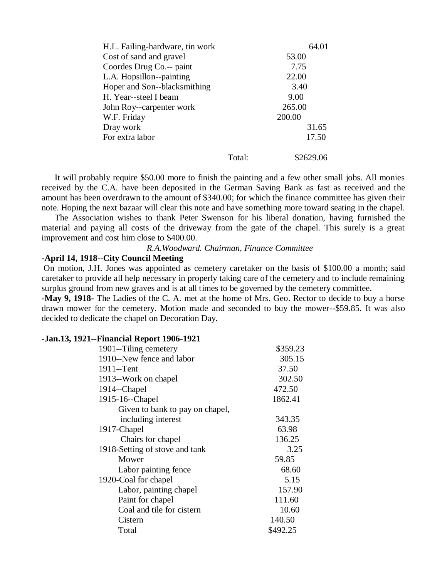| H.L. Failing-hardware, tin work |        | 64.01     |
|---------------------------------|--------|-----------|
| Cost of sand and gravel         |        | 53.00     |
| Coordes Drug Co.-- paint        |        | 7.75      |
| L.A. Hopsillon--painting        |        | 22.00     |
| Hoper and Son--blacksmithing    |        | 3.40      |
| H. Year--steel I beam           |        | 9.00      |
| John Roy--carpenter work        |        | 265.00    |
| W.F. Friday                     |        | 200.00    |
| Dray work                       |        | 31.65     |
| For extra labor                 |        | 17.50     |
|                                 | Total: | \$2629.06 |

It will probably require \$50.00 more to finish the painting and a few other small jobs. All monies received by the C.A. have been deposited in the German Saving Bank as fast as received and the amount has been overdrawn to the amount of \$340.00; for which the finance committee has given their note. Hoping the next bazaar will clear this note and have something more toward seating in the chapel.

The Association wishes to thank Peter Swenson for his liberal donation, having furnished the material and paying all costs of the driveway from the gate of the chapel. This surely is a great improvement and cost him close to \$400.00.

*R.A.Woodward. Chairman, Finance Committee*

#### **-April 14, 1918**--**City Council Meeting**

On motion, J.H. Jones was appointed as cemetery caretaker on the basis of \$100.00 a month; said caretaker to provide all help necessary in properly taking care of the cemetery and to include remaining surplus ground from new graves and is at all times to be governed by the cemetery committee.

**-May 9, 1918-** The Ladies of the C. A. met at the home of Mrs. Geo. Rector to decide to buy a horse drawn mower for the cemetery. Motion made and seconded to buy the mower--\$59.85. It was also decided to dedicate the chapel on Decoration Day.

#### **-Jan.13, 1921--Financial Report 1906-1921**

| 1901-Tiling cemetery            | \$359.23 |
|---------------------------------|----------|
| 1910--New fence and labor       | 305.15   |
| 1911--Tent                      | 37.50    |
| 1913--Work on chapel            | 302.50   |
| 1914--Chapel                    | 472.50   |
| 1915-16--Chapel                 | 1862.41  |
| Given to bank to pay on chapel, |          |
| including interest              | 343.35   |
| 1917-Chapel                     | 63.98    |
| Chairs for chapel               | 136.25   |
| 1918-Setting of stove and tank  | 3.25     |
| Mower                           | 59.85    |
| Labor painting fence            | 68.60    |
| 1920-Coal for chapel            | 5.15     |
| Labor, painting chapel          | 157.90   |
| Paint for chapel                | 111.60   |
| Coal and tile for cistern       | 10.60    |
| Cistern                         | 140.50   |
| Total                           | \$492.25 |
|                                 |          |